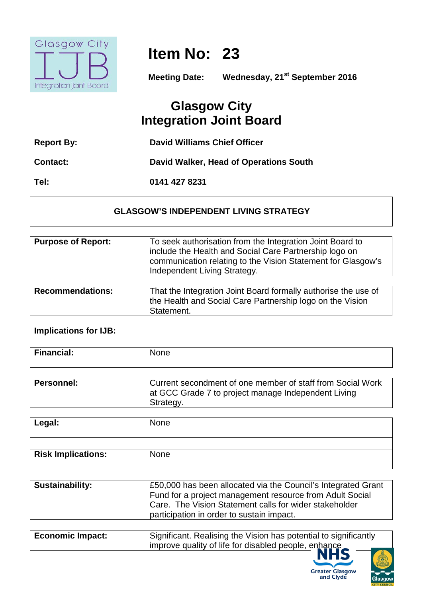

## **Item No: 23**

**Meeting Date: Wednesday, 21st September 2016**

## **Glasgow City Integration Joint Board**

| <b>Report By:</b> | David Williams Chief Officer           |
|-------------------|----------------------------------------|
| <b>Contact:</b>   | David Walker, Head of Operations South |
| Tel:              | 0141 427 8231                          |

## **GLASGOW'S INDEPENDENT LIVING STRATEGY**

| <b>Purpose of Report:</b>                   | To seek authorisation from the Integration Joint Board to<br>include the Health and Social Care Partnership logo on<br>communication relating to the Vision Statement for Glasgow's<br>Independent Living Strategy. |
|---------------------------------------------|---------------------------------------------------------------------------------------------------------------------------------------------------------------------------------------------------------------------|
|                                             |                                                                                                                                                                                                                     |
| <b>B</b> and a second contract and a second | 美しょうけい しょうしょせい こしきょうあい いしもん いっぱし こうけい きょうけい こうしょうも                                                                                                                                                                  |

| <b>Recommendations:</b> | That the Integration Joint Board formally authorise the use of          |
|-------------------------|-------------------------------------------------------------------------|
|                         | the Health and Social Care Partnership logo on the Vision<br>Statement. |

## **Implications for IJB:**

| <b>Financial:</b> | <b>None</b>                                                                                                                    |
|-------------------|--------------------------------------------------------------------------------------------------------------------------------|
| Personnel:        | Current secondment of one member of staff from Social Work<br>at GCC Grade 7 to project manage Independent Living<br>Strategy. |

| Legal:                    | <b>None</b> |
|---------------------------|-------------|
|                           |             |
| <b>Risk Implications:</b> | None        |

| <b>Sustainability:</b> | £50,000 has been allocated via the Council's Integrated Grant<br>Fund for a project management resource from Adult Social |
|------------------------|---------------------------------------------------------------------------------------------------------------------------|
|                        | Care. The Vision Statement calls for wider stakeholder<br>participation in order to sustain impact.                       |

| <b>Economic Impact:</b> | Significant. Realising the Vision has potential to significantly |
|-------------------------|------------------------------------------------------------------|
|                         | improve quality of life for disabled people, enhance             |
|                         |                                                                  |



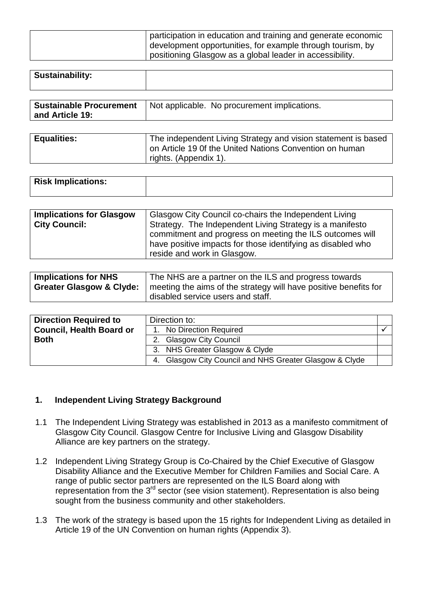| participation in education and training and generate economic |
|---------------------------------------------------------------|
| development opportunities, for example through tourism, by    |
| positioning Glasgow as a global leader in accessibility.      |

| <b>Sustainability:</b> |  |
|------------------------|--|
|                        |  |

|                 | Sustainable Procurement   Not applicable. No procurement implications. |
|-----------------|------------------------------------------------------------------------|
| and Article 19: |                                                                        |

| <b>Equalities:</b> | The independent Living Strategy and vision statement is based |
|--------------------|---------------------------------------------------------------|
|                    | on Article 19 Of the United Nations Convention on human       |
|                    | rights. (Appendix 1).                                         |

| <b>Risk Implications:</b> |
|---------------------------|
|                           |
|                           |

| reside and work in Glasgow. |
|-----------------------------|
|-----------------------------|

| <b>Implications for NHS</b>         | The NHS are a partner on the ILS and progress towards            |
|-------------------------------------|------------------------------------------------------------------|
| <b>Greater Glasgow &amp; Clyde:</b> | meeting the aims of the strategy will have positive benefits for |
|                                     | disabled service users and staff.                                |

| <b>Direction Required to</b>    | Direction to:                                           |  |
|---------------------------------|---------------------------------------------------------|--|
| <b>Council, Health Board or</b> | 1. No Direction Required                                |  |
| <b>Both</b>                     | 2. Glasgow City Council                                 |  |
|                                 | 3. NHS Greater Glasgow & Clyde                          |  |
|                                 | 4. Glasgow City Council and NHS Greater Glasgow & Clyde |  |

### **1. Independent Living Strategy Background**

- 1.1 The Independent Living Strategy was established in 2013 as a manifesto commitment of Glasgow City Council. Glasgow Centre for Inclusive Living and Glasgow Disability Alliance are key partners on the strategy.
- 1.2 Independent Living Strategy Group is Co-Chaired by the Chief Executive of Glasgow Disability Alliance and the Executive Member for Children Families and Social Care. A range of public sector partners are represented on the ILS Board along with representation from the  $3<sup>rd</sup>$  sector (see vision statement). Representation is also being sought from the business community and other stakeholders.
- 1.3 The work of the strategy is based upon the 15 rights for Independent Living as detailed in Article 19 of the UN Convention on human rights (Appendix 3).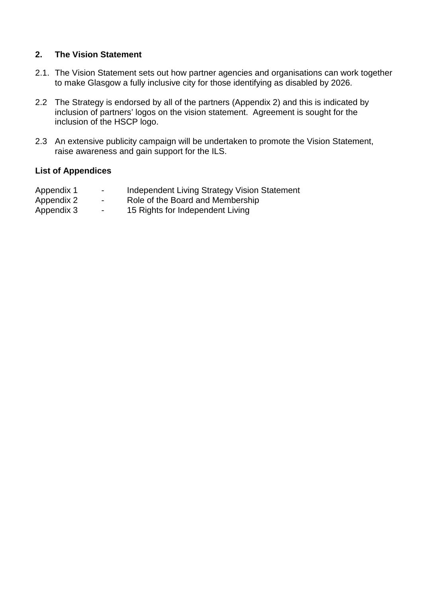#### **2. The Vision Statement**

- 2.1. The Vision Statement sets out how partner agencies and organisations can work together to make Glasgow a fully inclusive city for those identifying as disabled by 2026.
- 2.2 The Strategy is endorsed by all of the partners (Appendix 2) and this is indicated by inclusion of partners' logos on the vision statement. Agreement is sought for the inclusion of the HSCP logo.
- 2.3 An extensive publicity campaign will be undertaken to promote the Vision Statement, raise awareness and gain support for the ILS.

#### **List of Appendices**

| Appendix 1  | Independent Living Strategy Vision Statement |  |
|-------------|----------------------------------------------|--|
| $\Lambda$ 0 | Dela ef the Decord cool Mendeau bin          |  |

- Appendix 2 Role of the Board and Membership
- Appendix 3 15 Rights for Independent Living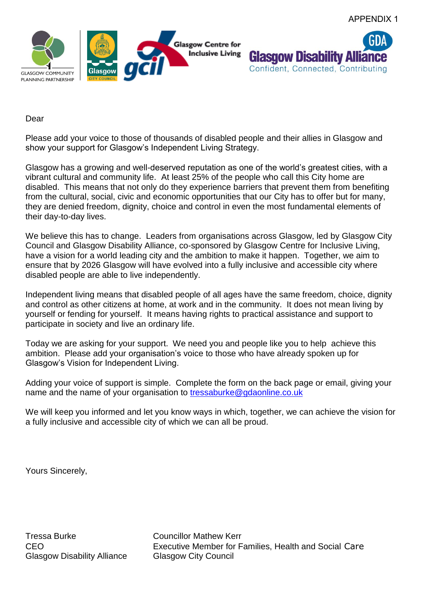



#### Dear

Please add your voice to those of thousands of disabled people and their allies in Glasgow and show your support for Glasgow's Independent Living Strategy.

Glasgow has a growing and well-deserved reputation as one of the world's greatest cities, with a vibrant cultural and community life. At least 25% of the people who call this City home are disabled. This means that not only do they experience barriers that prevent them from benefiting from the cultural, social, civic and economic opportunities that our City has to offer but for many, they are denied freedom, dignity, choice and control in even the most fundamental elements of their day-to-day lives.

We believe this has to change. Leaders from organisations across Glasgow, led by Glasgow City Council and Glasgow Disability Alliance, co-sponsored by Glasgow Centre for Inclusive Living, have a vision for a world leading city and the ambition to make it happen. Together, we aim to ensure that by 2026 Glasgow will have evolved into a fully inclusive and accessible city where disabled people are able to live independently.

Independent living means that disabled people of all ages have the same freedom, choice, dignity and control as other citizens at home, at work and in the community. It does not mean living by yourself or fending for yourself. It means having rights to practical assistance and support to participate in society and live an ordinary life.

Today we are asking for your support. We need you and people like you to help achieve this ambition. Please add your organisation's voice to those who have already spoken up for Glasgow's Vision for Independent Living.

Adding your voice of support is simple. Complete the form on the back page or email, giving your name and the name of your organisation to [tressaburke@gdaonline.co.uk](mailto:tressaburke@gdaonline.co.uk)

We will keep you informed and let you know ways in which, together, we can achieve the vision for a fully inclusive and accessible city of which we can all be proud.

Yours Sincerely,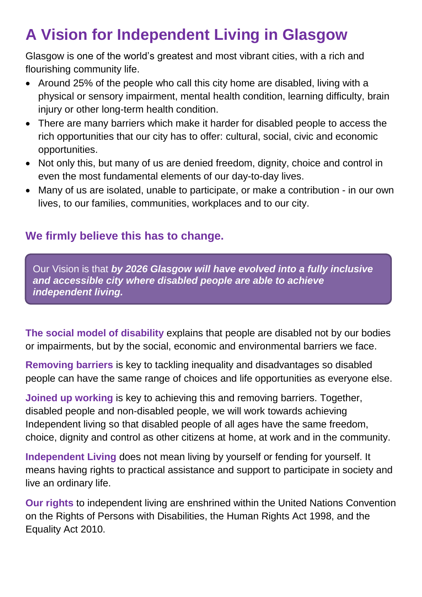# **A Vision for Independent Living in Glasgow**

Glasgow is one of the world's greatest and most vibrant cities, with a rich and flourishing community life.

- Around 25% of the people who call this city home are disabled, living with a physical or sensory impairment, mental health condition, learning difficulty, brain injury or other long-term health condition.
- There are many barriers which make it harder for disabled people to access the rich opportunities that our city has to offer: cultural, social, civic and economic opportunities.
- Not only this, but many of us are denied freedom, dignity, choice and control in even the most fundamental elements of our day-to-day lives.
- Many of us are isolated, unable to participate, or make a contribution in our own lives, to our families, communities, workplaces and to our city.

## **We firmly believe this has to change.**

Our Vision is that *by 2026 Glasgow will have evolved into a fully inclusive and accessible city where disabled people are able to achieve independent living.* 

**The social model of disability** explains that people are disabled not by our bodies or impairments, but by the social, economic and environmental barriers we face.

**Removing barriers** is key to tackling inequality and disadvantages so disabled people can have the same range of choices and life opportunities as everyone else.

**Joined up working** is key to achieving this and removing barriers. Together, disabled people and non-disabled people, we will work towards achieving Independent living so that disabled people of all ages have the same freedom, choice, dignity and control as other citizens at home, at work and in the community.

**Independent Living** does not mean living by yourself or fending for yourself. It means having rights to practical assistance and support to participate in society and live an ordinary life.

**Our rights** to independent living are enshrined within the United Nations Convention on the Rights of Persons with Disabilities, the Human Rights Act 1998, and the Equality Act 2010.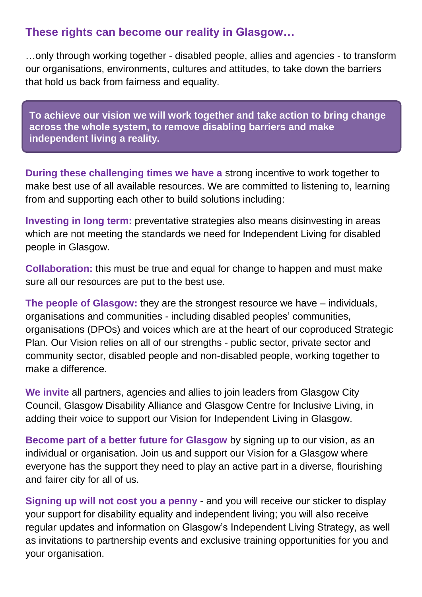## **These rights can become our reality in Glasgow…**

…only through working together - disabled people, allies and agencies - to transform our organisations, environments, cultures and attitudes, to take down the barriers that hold us back from fairness and equality.

**To achieve our vision we will work together and take action to bring change across the whole system, to remove disabling barriers and make independent living a reality.** 

**During these challenging times we have a** strong incentive to work together to make best use of all available resources. We are committed to listening to, learning from and supporting each other to build solutions including:

**Investing in long term:** preventative strategies also means disinvesting in areas which are not meeting the standards we need for Independent Living for disabled people in Glasgow.

**Collaboration:** this must be true and equal for change to happen and must make sure all our resources are put to the best use.

**The people of Glasgow:** they are the strongest resource we have – individuals, organisations and communities - including disabled peoples' communities, organisations (DPOs) and voices which are at the heart of our coproduced Strategic Plan. Our Vision relies on all of our strengths - public sector, private sector and community sector, disabled people and non-disabled people, working together to make a difference.

**We invite** all partners, agencies and allies to join leaders from Glasgow City Council, Glasgow Disability Alliance and Glasgow Centre for Inclusive Living, in adding their voice to support our Vision for Independent Living in Glasgow.

**Become part of a better future for Glasgow** by signing up to our vision, as an individual or organisation. Join us and support our Vision for a Glasgow where everyone has the support they need to play an active part in a diverse, flourishing and fairer city for all of us.

**Signing up will not cost you a penny** - and you will receive our sticker to display your support for disability equality and independent living; you will also receive regular updates and information on Glasgow's Independent Living Strategy, as well as invitations to partnership events and exclusive training opportunities for you and your organisation.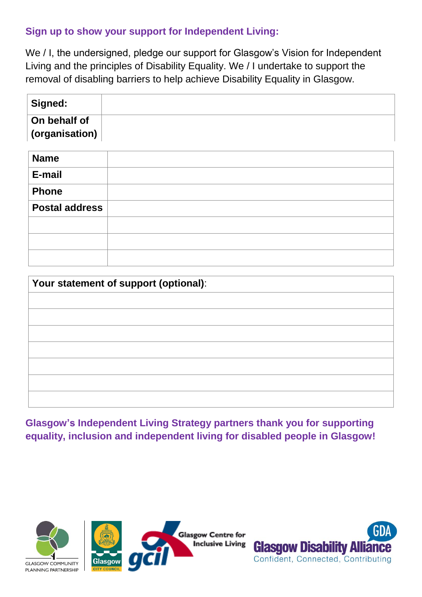## **Sign up to show your support for Independent Living:**

We / I, the undersigned, pledge our support for Glasgow's Vision for Independent Living and the principles of Disability Equality. We / I undertake to support the removal of disabling barriers to help achieve Disability Equality in Glasgow.

| <sup>∣</sup> Signed:     |  |
|--------------------------|--|
| On behalf of             |  |
| $\,$ (organisation) $\,$ |  |

| <b>Name</b>           |  |
|-----------------------|--|
| E-mail                |  |
| <b>Phone</b>          |  |
| <b>Postal address</b> |  |
|                       |  |
|                       |  |
|                       |  |

| Your statement of support (optional): |  |  |
|---------------------------------------|--|--|
|                                       |  |  |
|                                       |  |  |
|                                       |  |  |
|                                       |  |  |
|                                       |  |  |
|                                       |  |  |
|                                       |  |  |

**Glasgow's Independent Living Strategy partners thank you for supporting equality, inclusion and independent living for disabled people in Glasgow!**



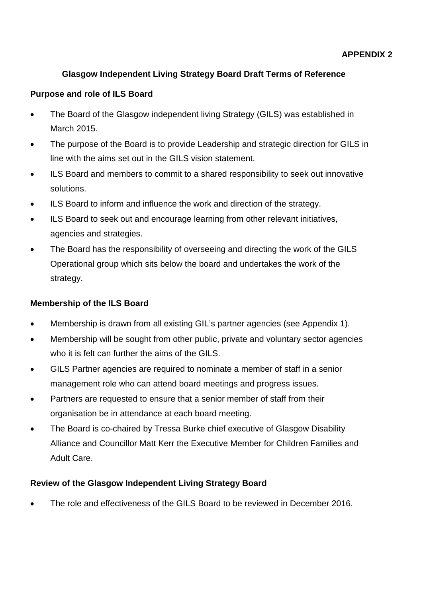## **Glasgow Independent Living Strategy Board Draft Terms of Reference**

## **Purpose and role of ILS Board**

- The Board of the Glasgow independent living Strategy (GILS) was established in March 2015.
- The purpose of the Board is to provide Leadership and strategic direction for GILS in line with the aims set out in the GILS vision statement.
- ILS Board and members to commit to a shared responsibility to seek out innovative solutions.
- ILS Board to inform and influence the work and direction of the strategy.
- ILS Board to seek out and encourage learning from other relevant initiatives, agencies and strategies.
- The Board has the responsibility of overseeing and directing the work of the GILS Operational group which sits below the board and undertakes the work of the strategy.

## **Membership of the ILS Board**

- Membership is drawn from all existing GIL's partner agencies (see Appendix 1).
- Membership will be sought from other public, private and voluntary sector agencies who it is felt can further the aims of the GILS.
- GILS Partner agencies are required to nominate a member of staff in a senior management role who can attend board meetings and progress issues.
- Partners are requested to ensure that a senior member of staff from their organisation be in attendance at each board meeting.
- The Board is co-chaired by Tressa Burke chief executive of Glasgow Disability Alliance and Councillor Matt Kerr the Executive Member for Children Families and Adult Care.

### **Review of the Glasgow Independent Living Strategy Board**

• The role and effectiveness of the GILS Board to be reviewed in December 2016.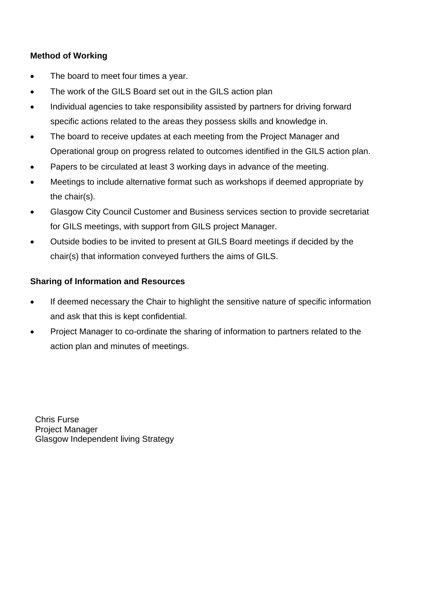## **Method of Working**

- The board to meet four times a year.
- The work of the GILS Board set out in the GILS action plan
- Individual agencies to take responsibility assisted by partners for driving forward specific actions related to the areas they possess skills and knowledge in.
- The board to receive updates at each meeting from the Project Manager and Operational group on progress related to outcomes identified in the GILS action plan.
- Papers to be circulated at least 3 working days in advance of the meeting.
- Meetings to include alternative format such as workshops if deemed appropriate by the chair(s).
- Glasgow City Council Customer and Business services section to provide secretariat for GILS meetings, with support from GILS project Manager.
- Outside bodies to be invited to present at GILS Board meetings if decided by the chair(s) that information conveyed furthers the aims of GILS.

### **Sharing of Information and Resources**

- If deemed necessary the Chair to highlight the sensitive nature of specific information and ask that this is kept confidential.
- Project Manager to co-ordinate the sharing of information to partners related to the action plan and minutes of meetings.

Chris Furse Project Manager Glasgow Independent living Strategy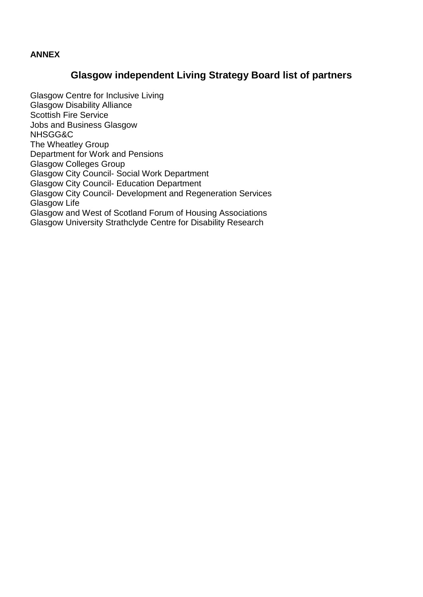#### **ANNEX**

## **Glasgow independent Living Strategy Board list of partners**

Glasgow Centre for Inclusive Living Glasgow Disability Alliance Scottish Fire Service Jobs and Business Glasgow NHSGG&C The Wheatley Group Department for Work and Pensions Glasgow Colleges Group Glasgow City Council- Social Work Department Glasgow City Council- Education Department Glasgow City Council- Development and Regeneration Services Glasgow Life Glasgow and West of Scotland Forum of Housing Associations Glasgow University Strathclyde Centre for Disability Research